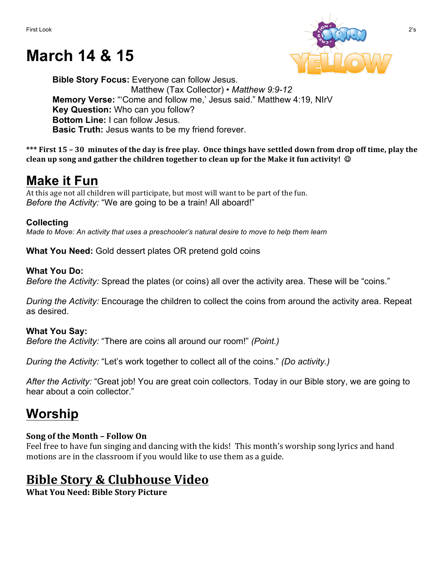# **March 14 & 15**



**Bible Story Focus:** Everyone can follow Jesus. Matthew (Tax Collector) • *Matthew 9:9-12* **Memory Verse:** "'Come and follow me,' Jesus said." Matthew 4:19, NIrV **Key Question:** Who can you follow? **Bottom Line:** I can follow Jesus. **Basic Truth:** Jesus wants to be my friend forever.

\*\*\* First 15 – 30 minutes of the day is free play. Once things have settled down from drop off time, play the **clean up song and gather the children together to clean up for the Make it fun activity!** ©

# **Make it Fun**

At this age not all children will participate, but most will want to be part of the fun. *Before the Activity:* "We are going to be a train! All aboard!"

## **Collecting**

*Made to Move: An activity that uses a preschooler's natural desire to move to help them learn*

**What You Need:** Gold dessert plates OR pretend gold coins

## **What You Do:**

*Before the Activity:* Spread the plates (or coins) all over the activity area. These will be "coins."

*During the Activity:* Encourage the children to collect the coins from around the activity area. Repeat as desired.

## **What You Say:**

*Before the Activity:* "There are coins all around our room!" *(Point.)*

*During the Activity:* "Let's work together to collect all of the coins." *(Do activity.)*

*After the Activity:* "Great job! You are great coin collectors. Today in our Bible story, we are going to hear about a coin collector."

# **Worship**

## **Song of the Month – Follow On**

Feel free to have fun singing and dancing with the kids! This month's worship song lyrics and hand motions are in the classroom if you would like to use them as a guide.

## **Bible Story & Clubhouse Video**

**What You Need: Bible Story Picture**